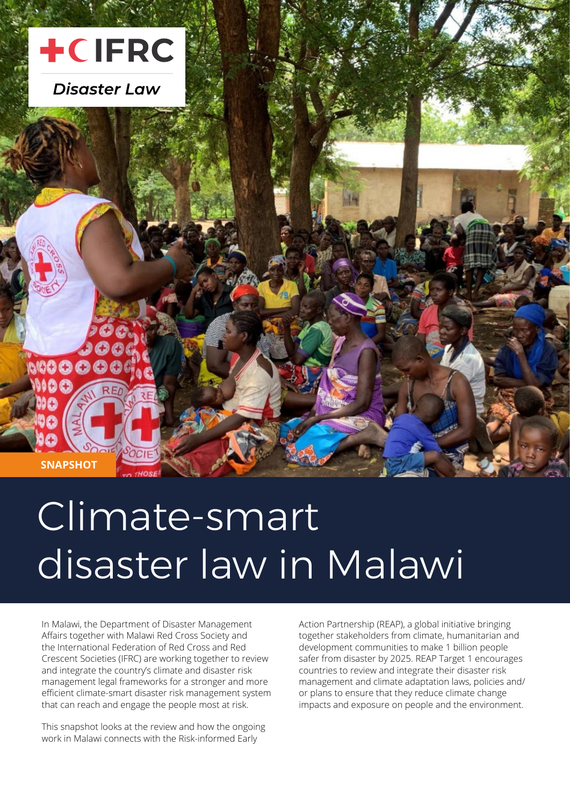

# Climate-smart disaster law in Malawi

In Malawi, the Department of Disaster Management Affairs together with Malawi Red Cross Society and the International Federation of Red Cross and Red Crescent Societies (IFRC) are working together to review and integrate the country's climate and disaster risk management legal frameworks for a stronger and more efficient climate-smart disaster risk management system that can reach and engage the people most at risk.

This snapshot looks at the review and how the ongoing work in Malawi connects with the Risk-informed Early

Action Partnership (REAP), a global initiative bringing together stakeholders from climate, humanitarian and development communities to make 1 billion people safer from disaster by 2025. REAP Target 1 encourages countries to review and integrate their disaster risk management and climate adaptation laws, policies and/ or plans to ensure that they reduce climate change impacts and exposure on people and the environment.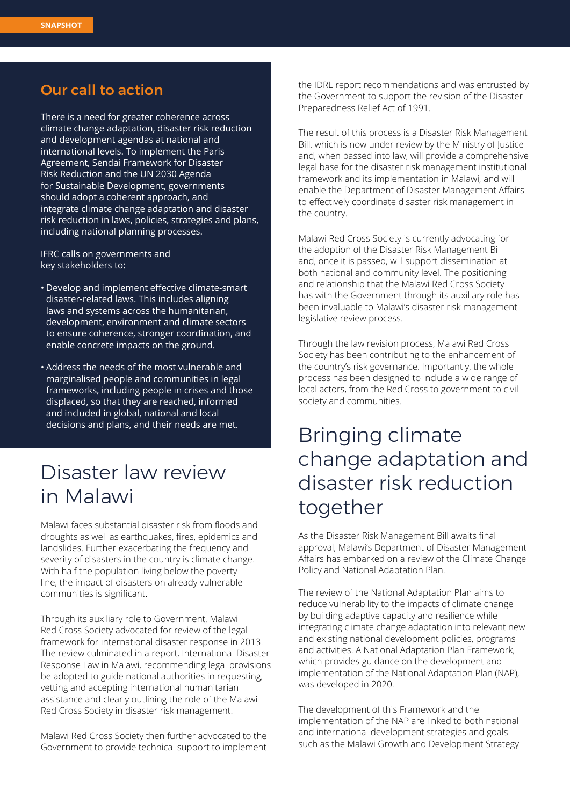#### Our call to action

There is a need for greater coherence across climate change adaptation, disaster risk reduction and development agendas at national and international levels. To implement the Paris Agreement, Sendai Framework for Disaster Risk Reduction and the UN 2030 Agenda for Sustainable Development, governments should adopt a coherent approach, and integrate climate change adaptation and disaster risk reduction in laws, policies, strategies and plans, including national planning processes.

IFRC calls on governments and key stakeholders to:

- • Develop and implement effective climate-smart disaster-related laws. This includes aligning laws and systems across the humanitarian, development, environment and climate sectors to ensure coherence, stronger coordination, and enable concrete impacts on the ground.
- Address the needs of the most vulnerable and marginalised people and communities in legal frameworks, including people in crises and those displaced, so that they are reached, informed and included in global, national and local decisions and plans, and their needs are met.

## Disaster law review in Malawi

Malawi faces substantial disaster risk from floods and droughts as well as earthquakes, fires, epidemics and landslides. Further exacerbating the frequency and severity of disasters in the country is climate change. With half the population living below the poverty line, the impact of disasters on already vulnerable communities is significant.

Through its auxiliary role to Government, Malawi Red Cross Society advocated for review of the legal framework for international disaster response in 2013. The review culminated in a report, International Disaster Response Law in Malawi, recommending legal provisions be adopted to guide national authorities in requesting, vetting and accepting international humanitarian assistance and clearly outlining the role of the Malawi Red Cross Society in disaster risk management.

Malawi Red Cross Society then further advocated to the Government to provide technical support to implement the IDRL report recommendations and was entrusted by the Government to support the revision of the Disaster Preparedness Relief Act of 1991.

The result of this process is a Disaster Risk Management Bill, which is now under review by the Ministry of Justice and, when passed into law, will provide a comprehensive legal base for the disaster risk management institutional framework and its implementation in Malawi, and will enable the Department of Disaster Management Affairs to effectively coordinate disaster risk management in the country.

Malawi Red Cross Society is currently advocating for the adoption of the Disaster Risk Management Bill and, once it is passed, will support dissemination at both national and community level. The positioning and relationship that the Malawi Red Cross Society has with the Government through its auxiliary role has been invaluable to Malawi's disaster risk management legislative review process.

Through the law revision process, Malawi Red Cross Society has been contributing to the enhancement of the country's risk governance. Importantly, the whole process has been designed to include a wide range of local actors, from the Red Cross to government to civil society and communities.

## Bringing climate change adaptation and disaster risk reduction together

As the Disaster Risk Management Bill awaits final approval, Malawi's Department of Disaster Management Affairs has embarked on a review of the Climate Change Policy and National Adaptation Plan.

The review of the National Adaptation Plan aims to reduce vulnerability to the impacts of climate change by building adaptive capacity and resilience while integrating climate change adaptation into relevant new and existing national development policies, programs and activities. A National Adaptation Plan Framework, which provides guidance on the development and implementation of the National Adaptation Plan (NAP), was developed in 2020.

The development of this Framework and the implementation of the NAP are linked to both national and international development strategies and goals such as the Malawi Growth and Development Strategy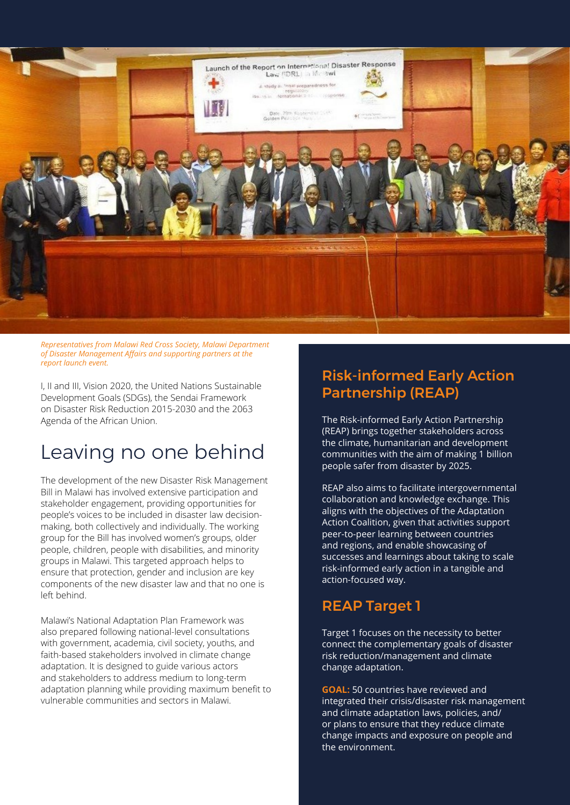

*Representatives from Malawi Red Cross Society, Malawi Department of Disaster Management Affairs and supporting partners at the report launch event.*

I, II and III, Vision 2020, the United Nations Sustainable Development Goals (SDGs), the Sendai Framework on Disaster Risk Reduction 2015-2030 and the 2063 Agenda of the African Union.

## Leaving no one behind

The development of the new Disaster Risk Management Bill in Malawi has involved extensive participation and stakeholder engagement, providing opportunities for people's voices to be included in disaster law decisionmaking, both collectively and individually. The working group for the Bill has involved women's groups, older people, children, people with disabilities, and minority groups in Malawi. This targeted approach helps to ensure that protection, gender and inclusion are key components of the new disaster law and that no one is left behind.

Malawi's National Adaptation Plan Framework was also prepared following national-level consultations with government, academia, civil society, youths, and faith-based stakeholders involved in climate change adaptation. It is designed to guide various actors and stakeholders to address medium to long-term adaptation planning while providing maximum benefit to vulnerable communities and sectors in Malawi.

#### Risk-informed Early Action Partnership (REAP)

The Risk-informed Early Action Partnership (REAP) brings together stakeholders across the climate, humanitarian and development communities with the aim of making 1 billion people safer from disaster by 2025.

REAP also aims to facilitate intergovernmental collaboration and knowledge exchange. This aligns with the objectives of the Adaptation Action Coalition, given that activities support peer-to-peer learning between countries and regions, and enable showcasing of successes and learnings about taking to scale risk-informed early action in a tangible and action-focused way.

#### REAP Target 1

Target 1 focuses on the necessity to better connect the complementary goals of disaster risk reduction/management and climate change adaptation.

**GOAL:** 50 countries have reviewed and integrated their crisis/disaster risk management and climate adaptation laws, policies, and/ or plans to ensure that they reduce climate change impacts and exposure on people and the environment.